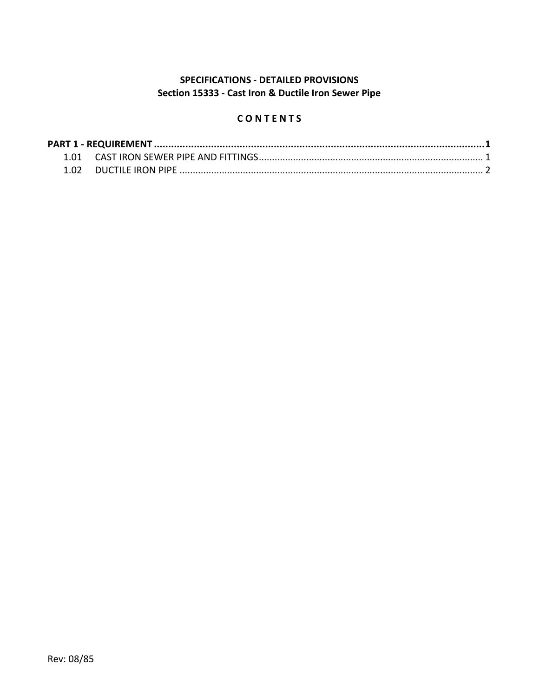# **SPECIFICATIONS - DETAILED PROVISIONS Section 15333 - Cast Iron & Ductile Iron Sewer Pipe**

# **C O N T E N T S**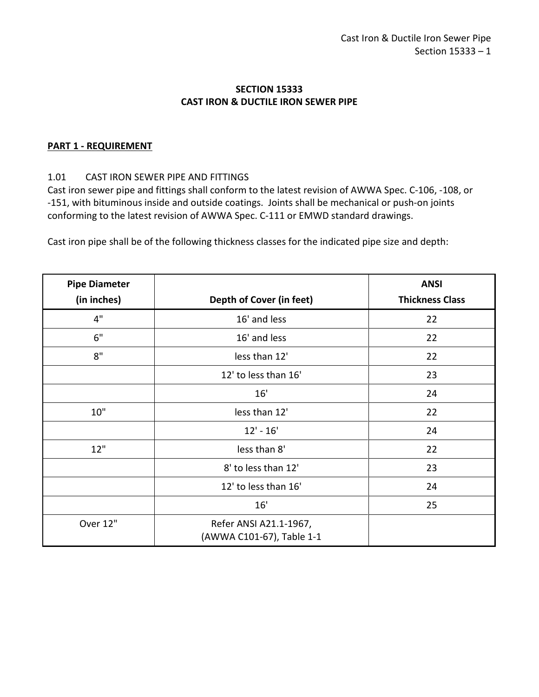### **SECTION 15333 CAST IRON & DUCTILE IRON SEWER PIPE**

#### <span id="page-2-0"></span>**PART 1 - REQUIREMENT**

#### <span id="page-2-1"></span>1.01 CAST IRON SEWER PIPE AND FITTINGS

Cast iron sewer pipe and fittings shall conform to the latest revision of AWWA Spec. C-106, -108, or -151, with bituminous inside and outside coatings. Joints shall be mechanical or push-on joints conforming to the latest revision of AWWA Spec. C-111 or EMWD standard drawings.

Cast iron pipe shall be of the following thickness classes for the indicated pipe size and depth:

| <b>Pipe Diameter</b> |                                                     | <b>ANSI</b>            |
|----------------------|-----------------------------------------------------|------------------------|
| (in inches)          | Depth of Cover (in feet)                            | <b>Thickness Class</b> |
| 4"                   | 16' and less                                        | 22                     |
| 6"                   | 16' and less                                        | 22                     |
| 8"                   | less than 12'                                       | 22                     |
|                      | 12' to less than 16'                                | 23                     |
|                      | 16'                                                 | 24                     |
| 10"                  | less than 12'                                       | 22                     |
|                      | $12' - 16'$                                         | 24                     |
| 12"                  | less than 8'                                        | 22                     |
|                      | 8' to less than 12'                                 | 23                     |
|                      | 12' to less than 16'                                | 24                     |
|                      | 16'                                                 | 25                     |
| Over 12"             | Refer ANSI A21.1-1967,<br>(AWWA C101-67), Table 1-1 |                        |